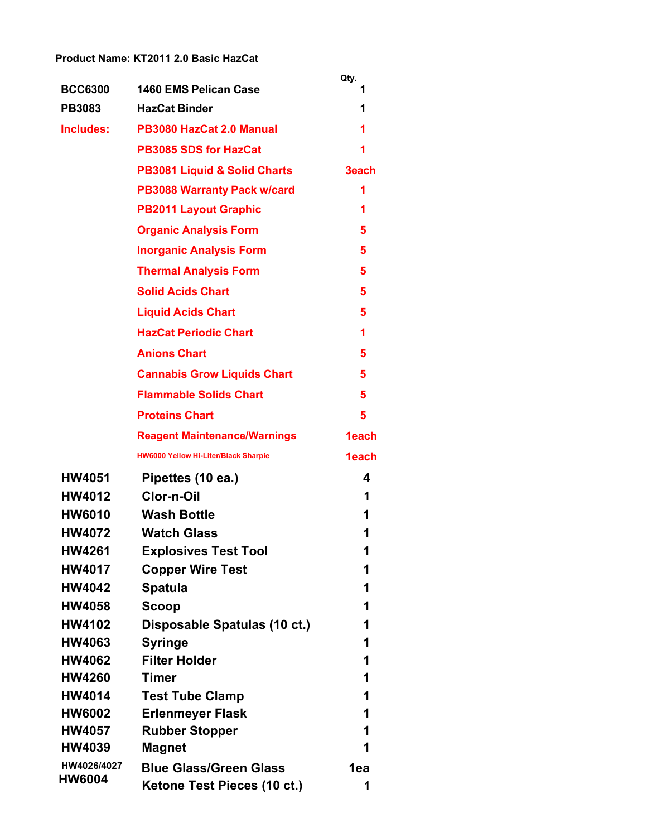## **Product Name: KT2011 2.0 Basic HazCat**

|                                |                                                              | Qty.     |
|--------------------------------|--------------------------------------------------------------|----------|
| <b>BCC6300</b>                 | 1460 EMS Pelican Case                                        | 1        |
| <b>PB3083</b>                  | <b>HazCat Binder</b>                                         | 1        |
| Includes:                      | PB3080 HazCat 2.0 Manual                                     | 1        |
|                                | <b>PB3085 SDS for HazCat</b>                                 | 1        |
|                                | <b>PB3081 Liquid &amp; Solid Charts</b>                      | 3each    |
|                                | <b>PB3088 Warranty Pack w/card</b>                           | 1        |
|                                | <b>PB2011 Layout Graphic</b>                                 | 1        |
|                                | <b>Organic Analysis Form</b>                                 | 5        |
|                                | <b>Inorganic Analysis Form</b>                               | 5        |
|                                | <b>Thermal Analysis Form</b>                                 | 5        |
|                                | <b>Solid Acids Chart</b>                                     | 5        |
|                                | <b>Liquid Acids Chart</b>                                    | 5        |
|                                | <b>HazCat Periodic Chart</b>                                 | 1        |
|                                | <b>Anions Chart</b>                                          | 5        |
|                                | <b>Cannabis Grow Liquids Chart</b>                           | 5        |
|                                | <b>Flammable Solids Chart</b>                                | 5        |
|                                | <b>Proteins Chart</b>                                        | 5        |
|                                | <b>Reagent Maintenance/Warnings</b>                          | 1each    |
|                                | <b>HW6000 Yellow Hi-Liter/Black Sharpie</b>                  | 1each    |
| <b>HW4051</b>                  | Pipettes (10 ea.)                                            | 4        |
| <b>HW4012</b>                  | Clor-n-Oil                                                   | 1        |
| <b>HW6010</b>                  | <b>Wash Bottle</b>                                           | 1        |
| <b>HW4072</b>                  | <b>Watch Glass</b>                                           | 1        |
| <b>HW4261</b>                  | <b>Explosives Test Tool</b>                                  |          |
| <b>HW4017</b>                  | <b>Copper Wire Test</b>                                      | 1        |
| <b>HW4042</b>                  | <b>Spatula</b>                                               | 1        |
| <b>HW4058</b>                  | Scoop                                                        | 1        |
| <b>HW4102</b>                  | Disposable Spatulas (10 ct.)                                 | 1        |
| <b>HW4063</b>                  | <b>Syringe</b>                                               | 1        |
| <b>HW4062</b>                  | <b>Filter Holder</b>                                         | 1        |
| <b>HW4260</b>                  | <b>Timer</b>                                                 | 1        |
| <b>HW4014</b>                  | <b>Test Tube Clamp</b>                                       | 1        |
| <b>HW6002</b>                  | <b>Erlenmeyer Flask</b>                                      | 1        |
| <b>HW4057</b><br><b>HW4039</b> | <b>Rubber Stopper</b>                                        | 1<br>1   |
| HW4026/4027                    | <b>Magnet</b>                                                |          |
| HW6004                         | <b>Blue Glass/Green Glass</b><br>Ketone Test Pieces (10 ct.) | 1ea<br>1 |
|                                |                                                              |          |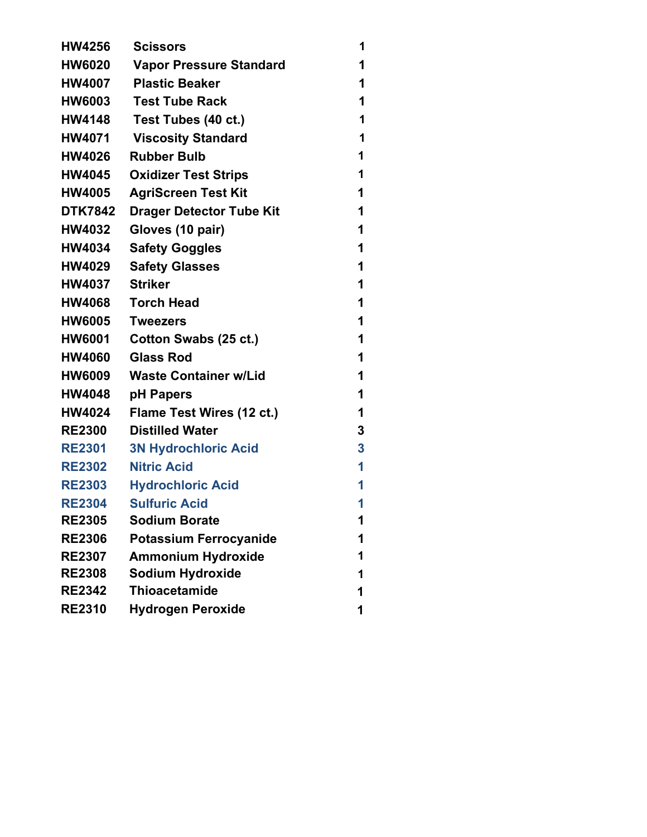| <b>HW4256</b>  | <b>Scissors</b>                 | 1 |
|----------------|---------------------------------|---|
| <b>HW6020</b>  | <b>Vapor Pressure Standard</b>  | 1 |
| <b>HW4007</b>  | <b>Plastic Beaker</b>           | 1 |
| <b>HW6003</b>  | <b>Test Tube Rack</b>           | 1 |
| <b>HW4148</b>  | Test Tubes (40 ct.)             | 1 |
| <b>HW4071</b>  | <b>Viscosity Standard</b>       | 1 |
| <b>HW4026</b>  | <b>Rubber Bulb</b>              | 1 |
| <b>HW4045</b>  | <b>Oxidizer Test Strips</b>     | 1 |
| <b>HW4005</b>  | <b>AgriScreen Test Kit</b>      | 1 |
| <b>DTK7842</b> | <b>Drager Detector Tube Kit</b> | 1 |
| <b>HW4032</b>  | Gloves (10 pair)                | 1 |
| <b>HW4034</b>  | <b>Safety Goggles</b>           | 1 |
| <b>HW4029</b>  | <b>Safety Glasses</b>           | 1 |
| <b>HW4037</b>  | <b>Striker</b>                  | 1 |
| <b>HW4068</b>  | <b>Torch Head</b>               | 1 |
| <b>HW6005</b>  | <b>Tweezers</b>                 | 1 |
| <b>HW6001</b>  | Cotton Swabs (25 ct.)           | 1 |
| <b>HW4060</b>  | <b>Glass Rod</b>                | 1 |
| <b>HW6009</b>  | <b>Waste Container w/Lid</b>    | 1 |
| <b>HW4048</b>  | pH Papers                       | 1 |
| <b>HW4024</b>  | Flame Test Wires (12 ct.)       | 1 |
| <b>RE2300</b>  | <b>Distilled Water</b>          | 3 |
| <b>RE2301</b>  | <b>3N Hydrochloric Acid</b>     | 3 |
| <b>RE2302</b>  | <b>Nitric Acid</b>              | 1 |
| <b>RE2303</b>  | <b>Hydrochloric Acid</b>        | 1 |
| <b>RE2304</b>  | <b>Sulfuric Acid</b>            | 1 |
| <b>RE2305</b>  | <b>Sodium Borate</b>            | 1 |
| <b>RE2306</b>  | <b>Potassium Ferrocyanide</b>   | 1 |
| <b>RE2307</b>  | <b>Ammonium Hydroxide</b>       | 1 |
| <b>RE2308</b>  | <b>Sodium Hydroxide</b>         | 1 |
| <b>RE2342</b>  | <b>Thioacetamide</b>            | 1 |
| <b>RE2310</b>  | <b>Hydrogen Peroxide</b>        | 1 |